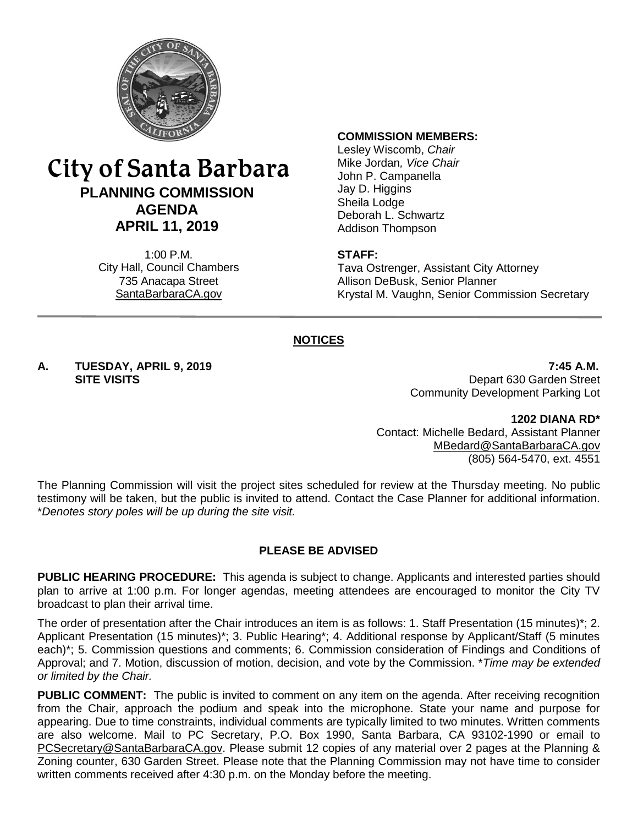

# City of Santa Barbara **PLANNING COMMISSION AGENDA APRIL 11, 2019**

1:00 P.M. City Hall, Council Chambers 735 Anacapa Street SantaBarbaraCA.gov

#### **COMMISSION MEMBERS:**

Lesley Wiscomb, *Chair* Mike Jordan*, Vice Chair* John P. Campanella Jay D. Higgins Sheila Lodge Deborah L. Schwartz Addison Thompson

#### **STAFF:**

Tava Ostrenger, Assistant City Attorney Allison DeBusk, Senior Planner Krystal M. Vaughn, Senior Commission Secretary

### **NOTICES**

**A. TUESDAY, APRIL 9, 2019 7:45 A.M.** Depart 630 Garden Street Community Development Parking Lot

> **1202 DIANA RD\*** Contact: Michelle Bedard, Assistant Planner [MBedard@SantaBarbaraCA.gov](mailto:MBedard@SantaBarbaraCA.gov) (805) 564-5470, ext. 4551

The Planning Commission will visit the project sites scheduled for review at the Thursday meeting. No public testimony will be taken, but the public is invited to attend. Contact the Case Planner for additional information. \**Denotes story poles will be up during the site visit.*

#### **PLEASE BE ADVISED**

**PUBLIC HEARING PROCEDURE:** This agenda is subject to change. Applicants and interested parties should plan to arrive at 1:00 p.m. For longer agendas, meeting attendees are encouraged to monitor the City TV broadcast to plan their arrival time.

The order of presentation after the Chair introduces an item is as follows: 1. Staff Presentation (15 minutes)\*; 2. Applicant Presentation (15 minutes)\*; 3. Public Hearing\*; 4. Additional response by Applicant/Staff (5 minutes each)\*; 5. Commission questions and comments; 6. Commission consideration of Findings and Conditions of Approval; and 7. Motion, discussion of motion, decision, and vote by the Commission. \**Time may be extended or limited by the Chair.*

**PUBLIC COMMENT:** The public is invited to comment on any item on the agenda. After receiving recognition from the Chair, approach the podium and speak into the microphone. State your name and purpose for appearing. Due to time constraints, individual comments are typically limited to two minutes. Written comments are also welcome. Mail to PC Secretary, P.O. Box 1990, Santa Barbara, CA 93102-1990 or email to [PCSecretary@SantaBarbaraCA.gov.](mailto:PCSecretary@SantaBarbaraCA.gov) Please submit 12 copies of any material over 2 pages at the Planning & Zoning counter, 630 Garden Street. Please note that the Planning Commission may not have time to consider written comments received after 4:30 p.m. on the Monday before the meeting.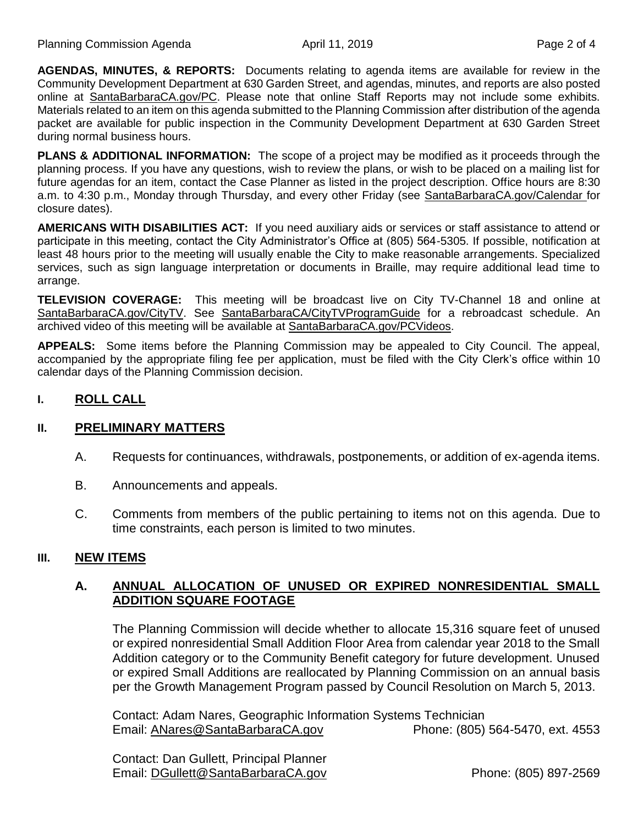**AGENDAS, MINUTES, & REPORTS:** Documents relating to agenda items are available for review in the Community Development Department at 630 Garden Street, and agendas, minutes, and reports are also posted online at [SantaBarbaraCA.gov/PC.](http://www.santabarbaraca.gov/PC) Please note that online Staff Reports may not include some exhibits. Materials related to an item on this agenda submitted to the Planning Commission after distribution of the agenda packet are available for public inspection in the Community Development Department at 630 Garden Street during normal business hours.

**PLANS & ADDITIONAL INFORMATION:** The scope of a project may be modified as it proceeds through the planning process. If you have any questions, wish to review the plans, or wish to be placed on a mailing list for future agendas for an item, contact the Case Planner as listed in the project description. Office hours are 8:30 a.m. to 4:30 p.m., Monday through Thursday, and every other Friday (see [SantaBarbaraCA.gov/Calendar](http://www.santabarbaraca.gov/cals/default.asp) for closure dates).

**AMERICANS WITH DISABILITIES ACT:** If you need auxiliary aids or services or staff assistance to attend or participate in this meeting, contact the City Administrator's Office at (805) 564-5305. If possible, notification at least 48 hours prior to the meeting will usually enable the City to make reasonable arrangements. Specialized services, such as sign language interpretation or documents in Braille, may require additional lead time to arrange.

**TELEVISION COVERAGE:** This meeting will be broadcast live on City TV-Channel 18 and online at [SantaBarbaraCA.gov/CityTV.](http://www.santabarbaraca.gov/CityTV) See [SantaBarbaraCA/CityTVProgramGuide](http://www.santabarbaraca.gov/gov/depts/cityadmin/programming.asp) for a rebroadcast schedule. An archived video of this meeting will be available at [SantaBarbaraCA.gov/PCVideos.](http://www.santabarbaraca.gov/PCVideos)

**APPEALS:** Some items before the Planning Commission may be appealed to City Council. The appeal, accompanied by the appropriate filing fee per application, must be filed with the City Clerk's office within 10 calendar days of the Planning Commission decision.

### **I. ROLL CALL**

### **II. PRELIMINARY MATTERS**

- A. Requests for continuances, withdrawals, postponements, or addition of ex-agenda items.
- B. Announcements and appeals.
- C. Comments from members of the public pertaining to items not on this agenda. Due to time constraints, each person is limited to two minutes.

### **III. NEW ITEMS**

## **A. ANNUAL ALLOCATION OF UNUSED OR EXPIRED NONRESIDENTIAL SMALL ADDITION SQUARE FOOTAGE**

The Planning Commission will decide whether to allocate 15,316 square feet of unused or expired nonresidential Small Addition Floor Area from calendar year 2018 to the Small Addition category or to the Community Benefit category for future development. Unused or expired Small Additions are reallocated by Planning Commission on an annual basis per the Growth Management Program passed by Council Resolution on March 5, 2013.

Contact: Adam Nares, Geographic Information Systems Technician Email: [ANares@SantaBarbaraCA.gov](mailto:ANares@SantaBarbaraCA.gov) Phone: (805) 564-5470, ext. 4553

Contact: Dan Gullett, Principal Planner Email: [DGullett@SantaBarbaraCA.gov](mailto:DGullett@SantaBarbaraCA.gov) Phone: (805) 897-2569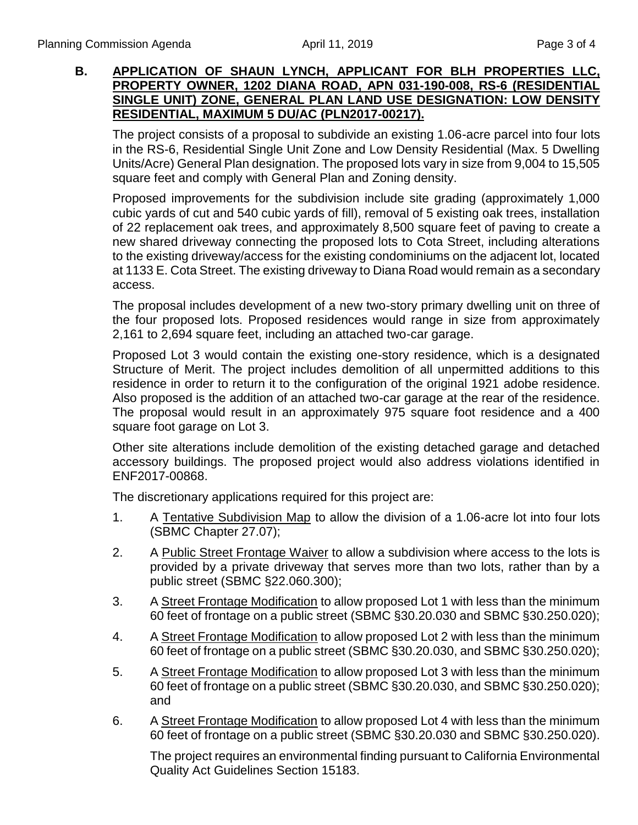### **B. APPLICATION OF SHAUN LYNCH, APPLICANT FOR BLH PROPERTIES LLC, PROPERTY OWNER, 1202 DIANA ROAD, APN 031-190-008, RS-6 (RESIDENTIAL SINGLE UNIT) ZONE, GENERAL PLAN LAND USE DESIGNATION: LOW DENSITY RESIDENTIAL, MAXIMUM 5 DU/AC (PLN2017-00217).**

The project consists of a proposal to subdivide an existing 1.06-acre parcel into four lots in the RS-6, Residential Single Unit Zone and Low Density Residential (Max. 5 Dwelling Units/Acre) General Plan designation. The proposed lots vary in size from 9,004 to 15,505 square feet and comply with General Plan and Zoning density.

Proposed improvements for the subdivision include site grading (approximately 1,000 cubic yards of cut and 540 cubic yards of fill), removal of 5 existing oak trees, installation of 22 replacement oak trees, and approximately 8,500 square feet of paving to create a new shared driveway connecting the proposed lots to Cota Street, including alterations to the existing driveway/access for the existing condominiums on the adjacent lot, located at 1133 E. Cota Street. The existing driveway to Diana Road would remain as a secondary access.

The proposal includes development of a new two-story primary dwelling unit on three of the four proposed lots. Proposed residences would range in size from approximately 2,161 to 2,694 square feet, including an attached two-car garage.

Proposed Lot 3 would contain the existing one-story residence, which is a designated Structure of Merit. The project includes demolition of all unpermitted additions to this residence in order to return it to the configuration of the original 1921 adobe residence. Also proposed is the addition of an attached two-car garage at the rear of the residence. The proposal would result in an approximately 975 square foot residence and a 400 square foot garage on Lot 3.

Other site alterations include demolition of the existing detached garage and detached accessory buildings. The proposed project would also address violations identified in ENF2017-00868.

The discretionary applications required for this project are:

- 1. A Tentative Subdivision Map to allow the division of a 1.06-acre lot into four lots (SBMC Chapter 27.07);
- 2. A Public Street Frontage Waiver to allow a subdivision where access to the lots is provided by a private driveway that serves more than two lots, rather than by a public street (SBMC §22.060.300);
- 3. A Street Frontage Modification to allow proposed Lot 1 with less than the minimum 60 feet of frontage on a public street (SBMC §30.20.030 and SBMC §30.250.020);
- 4. A Street Frontage Modification to allow proposed Lot 2 with less than the minimum 60 feet of frontage on a public street (SBMC §30.20.030, and SBMC §30.250.020);
- 5. A Street Frontage Modification to allow proposed Lot 3 with less than the minimum 60 feet of frontage on a public street (SBMC §30.20.030, and SBMC §30.250.020); and
- 6. A Street Frontage Modification to allow proposed Lot 4 with less than the minimum 60 feet of frontage on a public street (SBMC §30.20.030 and SBMC §30.250.020).

The project requires an environmental finding pursuant to California Environmental Quality Act Guidelines Section 15183.